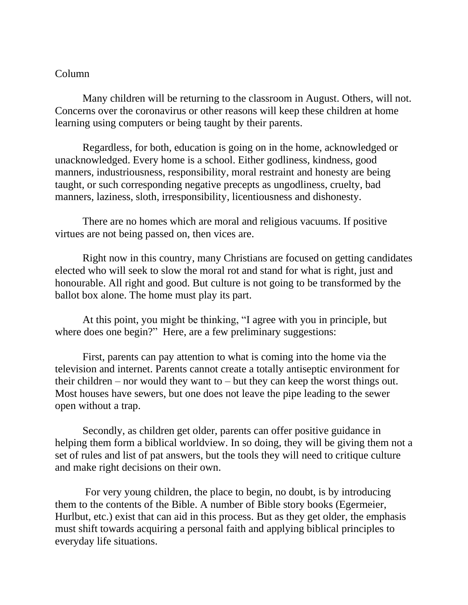## Column

Many children will be returning to the classroom in August. Others, will not. Concerns over the coronavirus or other reasons will keep these children at home learning using computers or being taught by their parents.

Regardless, for both, education is going on in the home, acknowledged or unacknowledged. Every home is a school. Either godliness, kindness, good manners, industriousness, responsibility, moral restraint and honesty are being taught, or such corresponding negative precepts as ungodliness, cruelty, bad manners, laziness, sloth, irresponsibility, licentiousness and dishonesty.

There are no homes which are moral and religious vacuums. If positive virtues are not being passed on, then vices are.

Right now in this country, many Christians are focused on getting candidates elected who will seek to slow the moral rot and stand for what is right, just and honourable. All right and good. But culture is not going to be transformed by the ballot box alone. The home must play its part.

At this point, you might be thinking, "I agree with you in principle, but where does one begin?" Here, are a few preliminary suggestions:

First, parents can pay attention to what is coming into the home via the television and internet. Parents cannot create a totally antiseptic environment for their children – nor would they want to – but they can keep the worst things out. Most houses have sewers, but one does not leave the pipe leading to the sewer open without a trap.

Secondly, as children get older, parents can offer positive guidance in helping them form a biblical worldview. In so doing, they will be giving them not a set of rules and list of pat answers, but the tools they will need to critique culture and make right decisions on their own.

For very young children, the place to begin, no doubt, is by introducing them to the contents of the Bible. A number of Bible story books (Egermeier, Hurlbut, etc.) exist that can aid in this process. But as they get older, the emphasis must shift towards acquiring a personal faith and applying biblical principles to everyday life situations.